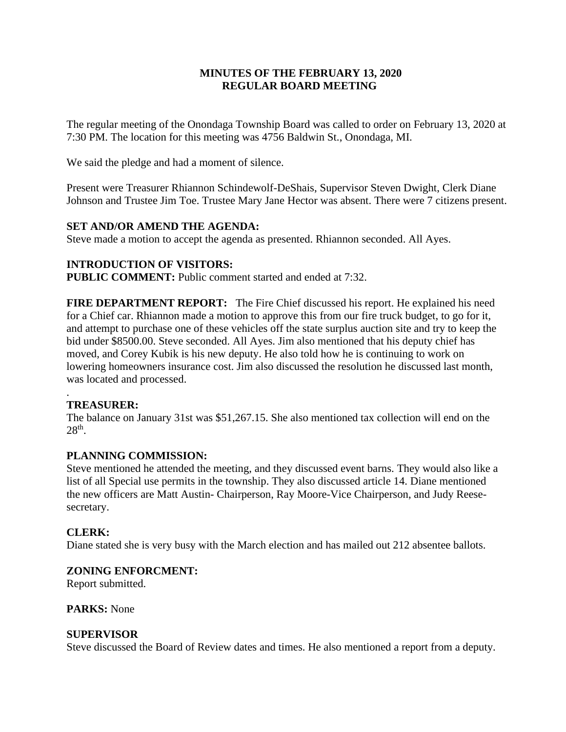# **MINUTES OF THE FEBRUARY 13, 2020 REGULAR BOARD MEETING**

The regular meeting of the Onondaga Township Board was called to order on February 13, 2020 at 7:30 PM. The location for this meeting was 4756 Baldwin St., Onondaga, MI.

We said the pledge and had a moment of silence.

Present were Treasurer Rhiannon Schindewolf-DeShais, Supervisor Steven Dwight, Clerk Diane Johnson and Trustee Jim Toe. Trustee Mary Jane Hector was absent. There were 7 citizens present.

## **SET AND/OR AMEND THE AGENDA:**

Steve made a motion to accept the agenda as presented. Rhiannon seconded. All Ayes.

## **INTRODUCTION OF VISITORS:**

**PUBLIC COMMENT:** Public comment started and ended at 7:32.

**FIRE DEPARTMENT REPORT:** The Fire Chief discussed his report. He explained his need for a Chief car. Rhiannon made a motion to approve this from our fire truck budget, to go for it, and attempt to purchase one of these vehicles off the state surplus auction site and try to keep the bid under \$8500.00. Steve seconded. All Ayes. Jim also mentioned that his deputy chief has moved, and Corey Kubik is his new deputy. He also told how he is continuing to work on lowering homeowners insurance cost. Jim also discussed the resolution he discussed last month, was located and processed.

### . **TREASURER:**

The balance on January 31st was \$51,267.15. She also mentioned tax collection will end on the  $28<sup>th</sup>$ .

## **PLANNING COMMISSION:**

Steve mentioned he attended the meeting, and they discussed event barns. They would also like a list of all Special use permits in the township. They also discussed article 14. Diane mentioned the new officers are Matt Austin- Chairperson, Ray Moore-Vice Chairperson, and Judy Reesesecretary.

## **CLERK:**

Diane stated she is very busy with the March election and has mailed out 212 absentee ballots.

## **ZONING ENFORCMENT:**

Report submitted.

**PARKS:** None

## **SUPERVISOR**

Steve discussed the Board of Review dates and times. He also mentioned a report from a deputy.